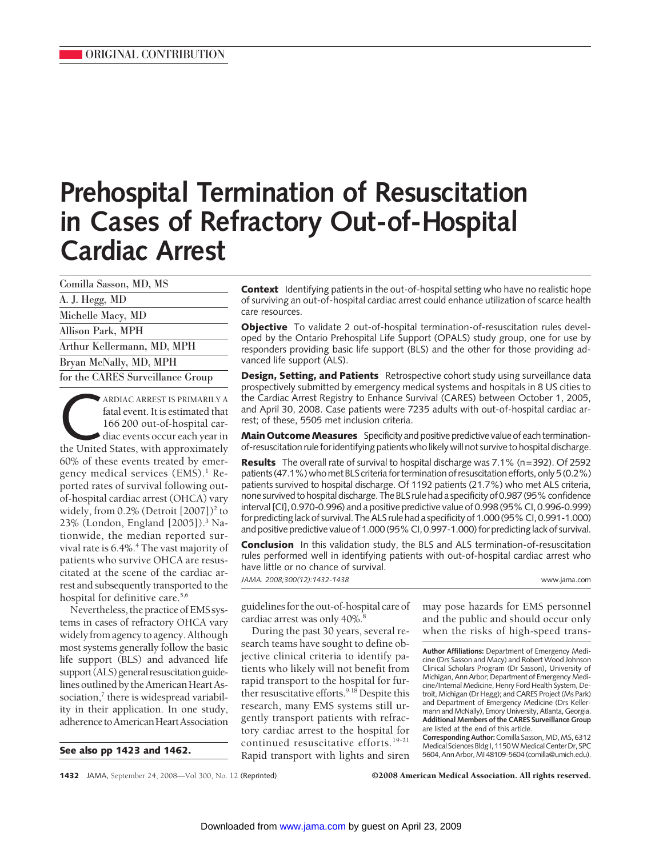# **Prehospital Termination of Resuscitation in Cases of Refractory Out-of-Hospital Cardiac Arrest**

| Comilla Sasson, MD, MS           |
|----------------------------------|
| A. J. Hegg, MD                   |
| Michelle Macy, MD                |
| Allison Park, MPH                |
| Arthur Kellermann, MD, MPH       |
| Bryan McNally, MD, MPH           |
| for the CARES Surveillance Group |

ARDIAC ARREST IS PRIMARILY A<br>fatal event. It is estimated that<br>166 200 out-of-hospital car-<br>diac events occur each year in<br>the United States, with approximately fatal event. It is estimated that 166 200 out-of-hospital cardiac events occur each year in 60% of these events treated by emergency medical services  $(EMS).<sup>1</sup>$  Reported rates of survival following outof-hospital cardiac arrest (OHCA) vary widely, from  $0.2\%$  (Detroit  $[2007]$ )<sup>2</sup> to 23% (London, England [2005]).3 Nationwide, the median reported survival rate is 6.4%.<sup>4</sup> The vast majority of patients who survive OHCA are resuscitated at the scene of the cardiac arrest and subsequently transported to the hospital for definitive care.<sup>5,6</sup>

Nevertheless, the practice of EMS systems in cases of refractory OHCA vary widely from agency to agency. Although most systems generally follow the basic life support (BLS) and advanced life support (ALS) general resuscitation guidelines outlined by the American Heart Association, $7$  there is widespread variability in their application. In one study, adherence to American Heart Association

**See also pp 1423 and 1462.**

**Context** Identifying patients in the out-of-hospital setting who have no realistic hope of surviving an out-of-hospital cardiac arrest could enhance utilization of scarce health care resources.

**Objective** To validate 2 out-of-hospital termination-of-resuscitation rules developed by the Ontario Prehospital Life Support (OPALS) study group, one for use by responders providing basic life support (BLS) and the other for those providing advanced life support (ALS).

**Design, Setting, and Patients** Retrospective cohort study using surveillance data prospectively submitted by emergency medical systems and hospitals in 8 US cities to the Cardiac Arrest Registry to Enhance Survival (CARES) between October 1, 2005, and April 30, 2008. Case patients were 7235 adults with out-of-hospital cardiac arrest; of these, 5505 met inclusion criteria.

**Main Outcome Measures** Specificity and positive predictive value of each terminationof-resuscitation rule for identifying patients who likely will not survive to hospital discharge.

**Results** The overall rate of survival to hospital discharge was 7.1% (n=392). Of 2592 patients (47.1%) who met BLS criteria for termination of resuscitation efforts, only 5 (0.2%) patients survived to hospital discharge. Of 1192 patients (21.7%) who met ALS criteria, none survived to hospital discharge. The BLS rule had a specificity of 0.987 (95% confidence interval [CI], 0.970-0.996) and a positive predictive value of 0.998 (95% CI, 0.996-0.999) for predicting lack of survival. The ALS rule had a specificity of 1.000 (95% CI, 0.991-1.000) and positive predictive value of 1.000 (95% CI, 0.997-1.000) for predicting lack of survival.

**Conclusion** In this validation study, the BLS and ALS termination-of-resuscitation rules performed well in identifying patients with out-of-hospital cardiac arrest who have little or no chance of survival.

*JAMA. 2008;300(12):1432-1438* www.jama.com

guidelines for the out-of-hospital care of cardiac arrest was only 40%.<sup>8</sup>

During the past 30 years, several research teams have sought to define objective clinical criteria to identify patients who likely will not benefit from rapid transport to the hospital for further resuscitative efforts.<sup>9-18</sup> Despite this research, many EMS systems still urgently transport patients with refractory cardiac arrest to the hospital for continued resuscitative efforts.<sup>19-21</sup> Rapid transport with lights and siren may pose hazards for EMS personnel and the public and should occur only when the risks of high-speed trans-

**Author Affiliations:** Department of Emergency Medicine (Drs Sasson and Macy) and Robert Wood Johnson Clinical Scholars Program (Dr Sasson), University of Michigan, Ann Arbor; Department of Emergency Medicine/Internal Medicine, Henry Ford Health System, Detroit, Michigan (Dr Hegg); and CARES Project (Ms Park) and Department of Emergency Medicine (Drs Kellermann and McNally), Emory University, Atlanta, Georgia. **Additional Members of the CARES Surveillance Group** are listed at the end of this article.

**Corresponding Author:** Comilla Sasson, MD, MS, 6312 Medical Sciences Bldg I, 1150 W Medical Center Dr, SPC 5604,AnnArbor,MI 48109-5604 (comilla@umich.edu).

**1432** JAMA, September 24, 2008—Vol 300, No. 12 (Reprinted) ©2008 American Medical Association. All rights reserved.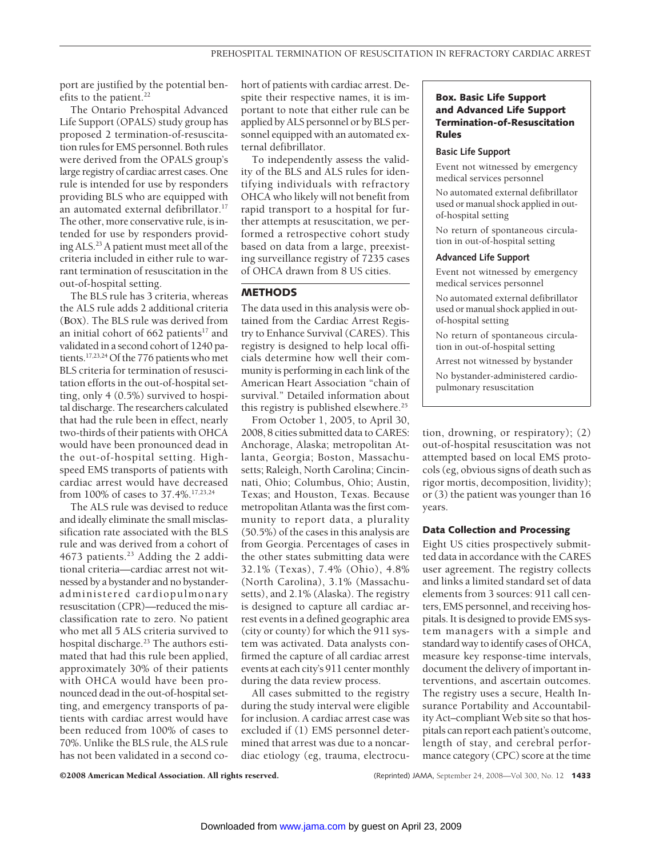port are justified by the potential benefits to the patient.<sup>22</sup>

The Ontario Prehospital Advanced Life Support (OPALS) study group has proposed 2 termination-of-resuscitation rules for EMS personnel. Both rules were derived from the OPALS group's large registry of cardiac arrest cases. One rule is intended for use by responders providing BLS who are equipped with an automated external defibrillator.<sup>17</sup> The other, more conservative rule, is intended for use by responders providing ALS.23 A patient must meet all of the criteria included in either rule to warrant termination of resuscitation in the out-of-hospital setting.

The BLS rule has 3 criteria, whereas the ALS rule adds 2 additional criteria (**BOX**). The BLS rule was derived from an initial cohort of 662 patients<sup>17</sup> and validated in a second cohort of 1240 patients.17,23,24 Of the 776 patients who met BLS criteria for termination of resuscitation efforts in the out-of-hospital setting, only 4 (0.5%) survived to hospital discharge. The researchers calculated that had the rule been in effect, nearly two-thirds of their patients with OHCA would have been pronounced dead in the out-of-hospital setting. Highspeed EMS transports of patients with cardiac arrest would have decreased from 100% of cases to 37.4%.17,23,24

The ALS rule was devised to reduce and ideally eliminate the small misclassification rate associated with the BLS rule and was derived from a cohort of 4673 patients.<sup>23</sup> Adding the 2 additional criteria—cardiac arrest not witnessed by a bystander and no bystanderadministered cardiopulmonary resuscitation (CPR)—reduced the misclassification rate to zero. No patient who met all 5 ALS criteria survived to hospital discharge.<sup>23</sup> The authors estimated that had this rule been applied, approximately 30% of their patients with OHCA would have been pronounced dead in the out-of-hospital setting, and emergency transports of patients with cardiac arrest would have been reduced from 100% of cases to 70%. Unlike the BLS rule, the ALS rule has not been validated in a second cohort of patients with cardiac arrest. Despite their respective names, it is important to note that either rule can be applied by ALS personnel or by BLS personnel equipped with an automated external defibrillator.

To independently assess the validity of the BLS and ALS rules for identifying individuals with refractory OHCA who likely will not benefit from rapid transport to a hospital for further attempts at resuscitation, we performed a retrospective cohort study based on data from a large, preexisting surveillance registry of 7235 cases of OHCA drawn from 8 US cities.

# **METHODS**

The data used in this analysis were obtained from the Cardiac Arrest Registry to Enhance Survival (CARES). This registry is designed to help local officials determine how well their community is performing in each link of the American Heart Association "chain of survival." Detailed information about this registry is published elsewhere.<sup>25</sup>

From October 1, 2005, to April 30, 2008, 8 cities submitted data to CARES: Anchorage, Alaska; metropolitan Atlanta, Georgia; Boston, Massachusetts; Raleigh, North Carolina; Cincinnati, Ohio; Columbus, Ohio; Austin, Texas; and Houston, Texas. Because metropolitan Atlanta was the first community to report data, a plurality (50.5%) of the cases in this analysis are from Georgia. Percentages of cases in the other states submitting data were 32.1% (Texas), 7.4% (Ohio), 4.8% (North Carolina), 3.1% (Massachusetts), and 2.1% (Alaska). The registry is designed to capture all cardiac arrest events in a defined geographic area (city or county) for which the 911 system was activated. Data analysts confirmed the capture of all cardiac arrest events at each city's 911 center monthly during the data review process.

All cases submitted to the registry during the study interval were eligible for inclusion. A cardiac arrest case was excluded if (1) EMS personnel determined that arrest was due to a noncardiac etiology (eg, trauma, electrocu-

# **Box. Basic Life Support and Advanced Life Support Termination-of-Resuscitation Rules**

## **Basic Life Support**

Event not witnessed by emergency medical services personnel

No automated external defibrillator used or manual shock applied in outof-hospital setting

No return of spontaneous circulation in out-of-hospital setting

#### **Advanced Life Support**

Event not witnessed by emergency medical services personnel

No automated external defibrillator used or manual shock applied in outof-hospital setting

No return of spontaneous circulation in out-of-hospital setting

Arrest not witnessed by bystander

No bystander-administered cardiopulmonary resuscitation

tion, drowning, or respiratory); (2) out-of-hospital resuscitation was not attempted based on local EMS protocols (eg, obvious signs of death such as rigor mortis, decomposition, lividity); or (3) the patient was younger than 16 years.

#### **Data Collection and Processing**

Eight US cities prospectively submitted data in accordance with the CARES user agreement. The registry collects and links a limited standard set of data elements from 3 sources: 911 call centers, EMS personnel, and receiving hospitals. It is designed to provide EMS system managers with a simple and standard way to identify cases of OHCA, measure key response-time intervals, document the delivery of important interventions, and ascertain outcomes. The registry uses a secure, Health Insurance Portability and Accountability Act–compliant Web site so that hospitals can report each patient's outcome, length of stay, and cerebral performance category (CPC) score at the time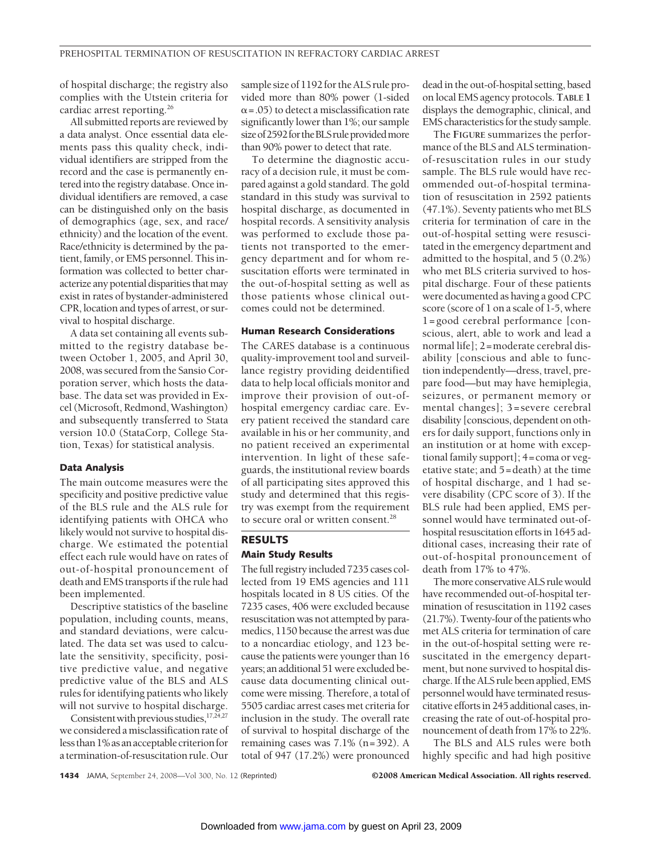of hospital discharge; the registry also complies with the Utstein criteria for cardiac arrest reporting.<sup>26</sup>

All submitted reports are reviewed by a data analyst. Once essential data elements pass this quality check, individual identifiers are stripped from the record and the case is permanently entered into the registry database. Once individual identifiers are removed, a case can be distinguished only on the basis of demographics (age, sex, and race/ ethnicity) and the location of the event. Race/ethnicity is determined by the patient, family, or EMS personnel. This information was collected to better characterize any potential disparities that may exist in rates of bystander-administered CPR, location and types of arrest, or survival to hospital discharge.

A data set containing all events submitted to the registry database between October 1, 2005, and April 30, 2008, was secured from the Sansio Corporation server, which hosts the database. The data set was provided in Excel (Microsoft, Redmond, Washington) and subsequently transferred to Stata version 10.0 (StataCorp, College Station, Texas) for statistical analysis.

#### **Data Analysis**

The main outcome measures were the specificity and positive predictive value of the BLS rule and the ALS rule for identifying patients with OHCA who likely would not survive to hospital discharge. We estimated the potential effect each rule would have on rates of out-of-hospital pronouncement of death and EMS transports if the rule had been implemented.

Descriptive statistics of the baseline population, including counts, means, and standard deviations, were calculated. The data set was used to calculate the sensitivity, specificity, positive predictive value, and negative predictive value of the BLS and ALS rules for identifying patients who likely will not survive to hospital discharge.

Consistent with previous studies, 17,24,27 we considered a misclassification rate of less than 1%asanacceptablecriterionfor a termination-of-resuscitation rule. Our

sample size of 1192 for the ALS rule provided more than 80% power (1-sided  $\alpha$  = .05) to detect a misclassification rate significantly lower than 1%; our sample size of 2592 for the BLS rule provided more than 90% power to detect that rate.

To determine the diagnostic accuracy of a decision rule, it must be compared against a gold standard. The gold standard in this study was survival to hospital discharge, as documented in hospital records. A sensitivity analysis was performed to exclude those patients not transported to the emergency department and for whom resuscitation efforts were terminated in the out-of-hospital setting as well as those patients whose clinical outcomes could not be determined.

## **Human Research Considerations**

The CARES database is a continuous quality-improvement tool and surveillance registry providing deidentified data to help local officials monitor and improve their provision of out-ofhospital emergency cardiac care. Every patient received the standard care available in his or her community, and no patient received an experimental intervention. In light of these safeguards, the institutional review boards of all participating sites approved this study and determined that this registry was exempt from the requirement to secure oral or written consent.<sup>28</sup>

# **RESULTS Main Study Results**

The full registry included 7235 cases collected from 19 EMS agencies and 111 hospitals located in 8 US cities. Of the 7235 cases, 406 were excluded because resuscitation was not attempted by paramedics, 1150 because the arrest was due to a noncardiac etiology, and 123 because the patients were younger than 16 years; an additional 51 were excluded because data documenting clinical outcome were missing. Therefore, a total of 5505 cardiac arrest cases met criteria for inclusion in the study. The overall rate of survival to hospital discharge of the remaining cases was 7.1% (n=392). A total of 947 (17.2%) were pronounced

dead in the out-of-hospital setting, based on local EMS agency protocols. **TABLE 1** displays the demographic, clinical, and EMS characteristics for the study sample.

The **FIGURE** summarizes the performance of the BLS and ALS terminationof-resuscitation rules in our study sample. The BLS rule would have recommended out-of-hospital termination of resuscitation in 2592 patients (47.1%). Seventy patients who met BLS criteria for termination of care in the out-of-hospital setting were resuscitated in the emergency department and admitted to the hospital, and 5 (0.2%) who met BLS criteria survived to hospital discharge. Four of these patients were documented as having a good CPC score (score of 1 on a scale of 1-5, where 1=good cerebral performance [conscious, alert, able to work and lead a normal life]; 2=moderate cerebral disability [conscious and able to function independently—dress, travel, prepare food—but may have hemiplegia, seizures, or permanent memory or mental changes]; 3= severe cerebral disability [conscious, dependent on others for daily support, functions only in an institution or at home with exceptional family support]; 4=coma or vegetative state; and 5=death) at the time of hospital discharge, and 1 had severe disability (CPC score of 3). If the BLS rule had been applied, EMS personnel would have terminated out-ofhospital resuscitation efforts in 1645 additional cases, increasing their rate of out-of-hospital pronouncement of death from 17% to 47%.

The more conservative ALS rule would have recommended out-of-hospital termination of resuscitation in 1192 cases (21.7%). Twenty-four of the patients who met ALS criteria for termination of care in the out-of-hospital setting were resuscitated in the emergency department, but none survived to hospital discharge. If the ALS rule been applied, EMS personnel would have terminated resuscitative efforts in 245 additional cases, increasing the rate of out-of-hospital pronouncement of death from 17% to 22%.

The BLS and ALS rules were both highly specific and had high positive

**1434** JAMA, September 24, 2008—Vol 300, No. 12 (Reprinted) ©2008 American Medical Association. All rights reserved.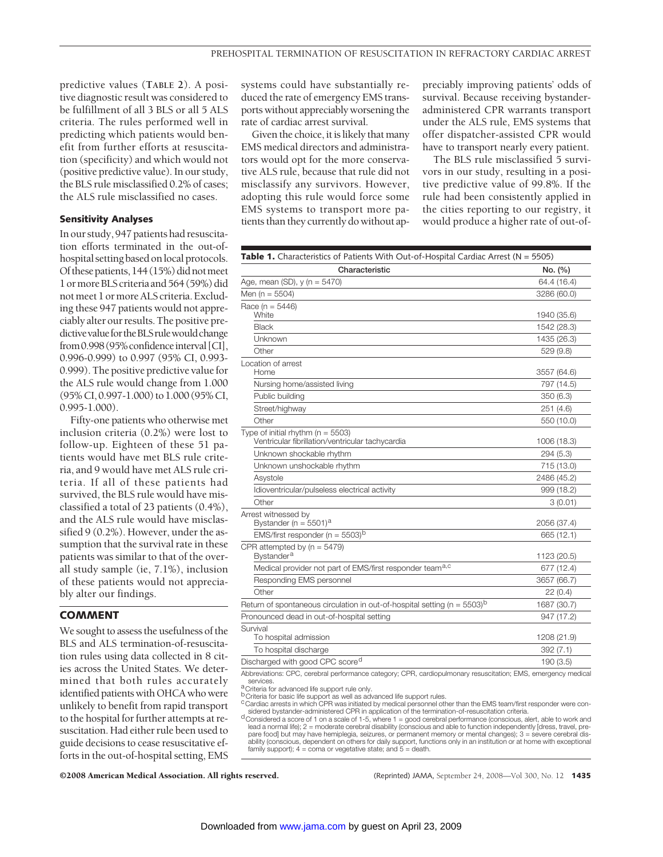predictive values (**TABLE 2**). A positive diagnostic result was considered to be fulfillment of all 3 BLS or all 5 ALS criteria. The rules performed well in predicting which patients would benefit from further efforts at resuscitation (specificity) and which would not (positive predictive value). In our study, the BLS rule misclassified 0.2% of cases; the ALS rule misclassified no cases.

## **Sensitivity Analyses**

In our study, 947 patients had resuscitation efforts terminated in the out-ofhospital setting based on local protocols. Of these patients,  $144 (15%)$  did not meet 1 ormore BLS criteria and 564 (59%) did notmeet 1 ormoreALS criteria. Excluding these 947 patients would not appreciably alter our results. The positive predictive value for the BLS rule would change from 0.998 (95% confidence interval [CI], 0.996-0.999) to 0.997 (95% CI, 0.993- 0.999). The positive predictive value for the ALS rule would change from 1.000 (95%CI, 0.997-1.000) to 1.000 (95%CI, 0.995-1.000).

Fifty-one patients who otherwise met inclusion criteria (0.2%) were lost to follow-up. Eighteen of these 51 patients would have met BLS rule criteria, and 9 would have met ALS rule criteria. If all of these patients had survived, the BLS rule would have misclassified a total of 23 patients (0.4%), and the ALS rule would have misclassified 9 (0.2%). However, under the assumption that the survival rate in these patients was similar to that of the overall study sample (ie, 7.1%), inclusion of these patients would not appreciably alter our findings.

# **COMMENT**

We sought to assess the usefulness of the BLS and ALS termination-of-resuscitation rules using data collected in 8 cities across the United States. We determined that both rules accurately identified patients with OHCA who were unlikely to benefit from rapid transport to the hospital for further attempts at resuscitation. Had either rule been used to guide decisions to cease resuscitative efforts in the out-of-hospital setting, EMS

systems could have substantially reduced the rate of emergency EMS transports without appreciably worsening the rate of cardiac arrest survival.

Given the choice, it is likely that many EMS medical directors and administrators would opt for the more conservative ALS rule, because that rule did not misclassify any survivors. However, adopting this rule would force some EMS systems to transport more patients than they currently do without ap-

preciably improving patients' odds of survival. Because receiving bystanderadministered CPR warrants transport under the ALS rule, EMS systems that offer dispatcher-assisted CPR would have to transport nearly every patient.

The BLS rule misclassified 5 survivors in our study, resulting in a positive predictive value of 99.8%. If the rule had been consistently applied in the cities reporting to our registry, it would produce a higher rate of out-of-

| <b>Table 1.</b> Characteristics of Patients With Out-of-Hospital Cardiac Arrest ( $N = 5505$ )                |             |  |  |  |  |
|---------------------------------------------------------------------------------------------------------------|-------------|--|--|--|--|
| Characteristic                                                                                                | No. (%)     |  |  |  |  |
| Age, mean (SD), $y(n = 5470)$                                                                                 | 64.4 (16.4) |  |  |  |  |
| Men ( $n = 5504$ )                                                                                            | 3286 (60.0) |  |  |  |  |
| Race ( $n = 5446$ )                                                                                           |             |  |  |  |  |
| White                                                                                                         | 1940 (35.6) |  |  |  |  |
| Black                                                                                                         | 1542 (28.3) |  |  |  |  |
| Unknown                                                                                                       | 1435 (26.3) |  |  |  |  |
| Other                                                                                                         | 529 (9.8)   |  |  |  |  |
| Location of arrest<br>Home                                                                                    | 3557 (64.6) |  |  |  |  |
| Nursing home/assisted living                                                                                  | 797 (14.5)  |  |  |  |  |
| Public building                                                                                               | 350 (6.3)   |  |  |  |  |
| Street/highway                                                                                                | 251(4.6)    |  |  |  |  |
| Other                                                                                                         | 550 (10.0)  |  |  |  |  |
| Type of initial rhythm ( $n = 5503$ )<br>Ventricular fibrillation/ventricular tachycardia                     | 1006 (18.3) |  |  |  |  |
| Unknown shockable rhythm                                                                                      | 294 (5.3)   |  |  |  |  |
| Unknown unshockable rhythm                                                                                    | 715 (13.0)  |  |  |  |  |
| Asystole                                                                                                      | 2486 (45.2) |  |  |  |  |
| Idioventricular/pulseless electrical activity                                                                 | 999 (18.2)  |  |  |  |  |
| Other                                                                                                         | 3(0.01)     |  |  |  |  |
| Arrest witnessed by<br>Bystander ( $n = 5501$ ) <sup>a</sup>                                                  | 2056 (37.4) |  |  |  |  |
| EMS/first responder (n = $5503$ ) <sup>b</sup>                                                                | 665 (12.1)  |  |  |  |  |
| CPR attempted by $(n = 5479)$<br><b>Bystander<sup>a</sup></b>                                                 | 1123 (20.5) |  |  |  |  |
| Medical provider not part of EMS/first responder team <sup>a,c</sup>                                          | 677 (12.4)  |  |  |  |  |
| Responding EMS personnel                                                                                      | 3657 (66.7) |  |  |  |  |
| Other                                                                                                         | 22(0.4)     |  |  |  |  |
| Return of spontaneous circulation in out-of-hospital setting (n = $5503$ ) <sup>b</sup>                       | 1687 (30.7) |  |  |  |  |
| Pronounced dead in out-of-hospital setting                                                                    | 947 (17.2)  |  |  |  |  |
| Survival                                                                                                      |             |  |  |  |  |
| To hospital admission                                                                                         | 1208 (21.9) |  |  |  |  |
| To hospital discharge                                                                                         | 392 (7.1)   |  |  |  |  |
| Discharged with good CPC score <sup>d</sup>                                                                   | 190 (3.5)   |  |  |  |  |
| Abbreviations: CPC, cerebral performance category; CPR, cardiopulmonary resuscitation; EMS, emergency medical |             |  |  |  |  |

services.<br><sup>a</sup>Criteria for advanced life support rule only.

b Criteria for basic life support as well as advanced life support rules.

cCardiac arrests in which CPR was initiated by medical personnel other than the EMS team/first responder were con-<br>sidered by stander-administered CPR in application of the termination-of-resuscitation criteria.

d Considered a score of 1 on a scale of 1-5, where 1 = good cerebral performance (conscious, alert, able to work and lead a normal life); 2 = moderate cerebral disability (conscious and able to function independently [dress, travel, pre-<br>pare food] but may have hemiplegia, seizures, or permanent memory or mental changes); 3 = severe cere ability (conscious, dependent on others for daily support, functions only in an institution or at home with exceptional family support); 4 = coma or vegetative state; and 5 = death.

©2008 American Medical Association. All rights reserved. (Reprinted) JAMA, September 24, 2008—Vol 300, No. 12 **1435**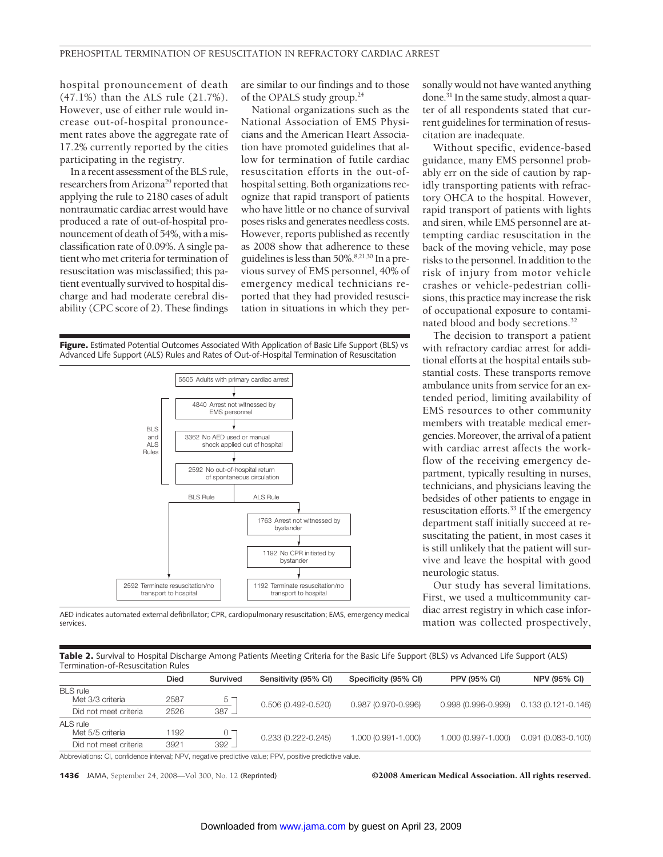hospital pronouncement of death (47.1%) than the ALS rule (21.7%). However, use of either rule would increase out-of-hospital pronouncement rates above the aggregate rate of 17.2% currently reported by the cities participating in the registry.

In a recent assessment of the BLS rule, researchers from Arizona<sup>29</sup> reported that applying the rule to 2180 cases of adult nontraumatic cardiac arrest would have produced a rate of out-of-hospital pronouncement of death of 54%, with a misclassification rate of 0.09%. A single patient who met criteria for termination of resuscitation was misclassified; this patient eventually survived to hospital discharge and had moderate cerebral disability (CPC score of 2). These findings

are similar to our findings and to those of the OPALS study group.<sup>24</sup>

National organizations such as the National Association of EMS Physicians and the American Heart Association have promoted guidelines that allow for termination of futile cardiac resuscitation efforts in the out-ofhospital setting. Both organizations recognize that rapid transport of patients who have little or no chance of survival poses risks and generates needless costs. However, reports published as recently as 2008 show that adherence to these guidelines is less than 50%.8,21,30 In a previous survey of EMS personnel, 40% of emergency medical technicians reported that they had provided resuscitation in situations in which they per-

**Figure.** Estimated Potential Outcomes Associated With Application of Basic Life Support (BLS) vs Advanced Life Support (ALS) Rules and Rates of Out-of-Hospital Termination of Resuscitation



sonally would not have wanted anything done.31 In the same study, almost a quarter of all respondents stated that current guidelines for termination of resuscitation are inadequate.

Without specific, evidence-based guidance, many EMS personnel probably err on the side of caution by rapidly transporting patients with refractory OHCA to the hospital. However, rapid transport of patients with lights and siren, while EMS personnel are attempting cardiac resuscitation in the back of the moving vehicle, may pose risks to the personnel. In addition to the risk of injury from motor vehicle crashes or vehicle-pedestrian collisions, this practice may increase the risk of occupational exposure to contaminated blood and body secretions.32

The decision to transport a patient with refractory cardiac arrest for additional efforts at the hospital entails substantial costs. These transports remove ambulance units from service for an extended period, limiting availability of EMS resources to other community members with treatable medical emergencies.Moreover, the arrival of a patient with cardiac arrest affects the workflow of the receiving emergency department, typically resulting in nurses, technicians, and physicians leaving the bedsides of other patients to engage in resuscitation efforts.33 If the emergency department staff initially succeed at resuscitating the patient, in most cases it is still unlikely that the patient will survive and leave the hospital with good neurologic status.

Our study has several limitations. First, we used a multicommunity cardiac arrest registry in which case information was collected prospectively,

services.

AED indicates automated external defibrillator; CPR, cardiopulmonary resuscitation; EMS, emergency medical

Table 2. Survival to Hospital Discharge Among Patients Meeting Criteria for the Basic Life Support (BLS) vs Advanced Life Support (ALS) Termination-of-Resuscitation Rules

|                       | Died | Survived | Sensitivity (95% CI)   | Specificity (95% CI) | <b>PPV (95% CI)</b>    | <b>NPV (95% CI)</b>    |
|-----------------------|------|----------|------------------------|----------------------|------------------------|------------------------|
| <b>BLS</b> rule       |      |          |                        |                      |                        |                        |
| Met 3/3 criteria      | 2587 | $5^-$    | $0.506(0.492 - 0.520)$ | 0.987 (0.970-0.996)  | $0.998(0.996 - 0.999)$ | 0.133 (0.121-0.146)    |
| Did not meet criteria | 2526 | $387 -$  |                        |                      |                        |                        |
| ALS rule              |      |          |                        |                      |                        |                        |
| Met 5/5 criteria      | 1192 | _ ∪ —    | $0.233(0.222 - 0.245)$ | 1.000 (0.991-1.000)  | 1.000 (0.997-1.000)    | $0.091(0.083 - 0.100)$ |
| Did not meet criteria | 3921 | $392 -$  |                        |                      |                        |                        |

Abbreviations: CI, confidence interval; NPV, negative predictive value; PPV, positive predictive value.

**1436** JAMA, September 24, 2008—Vol 300, No. 12 (Reprinted) ©2008 American Medical Association. All rights reserved.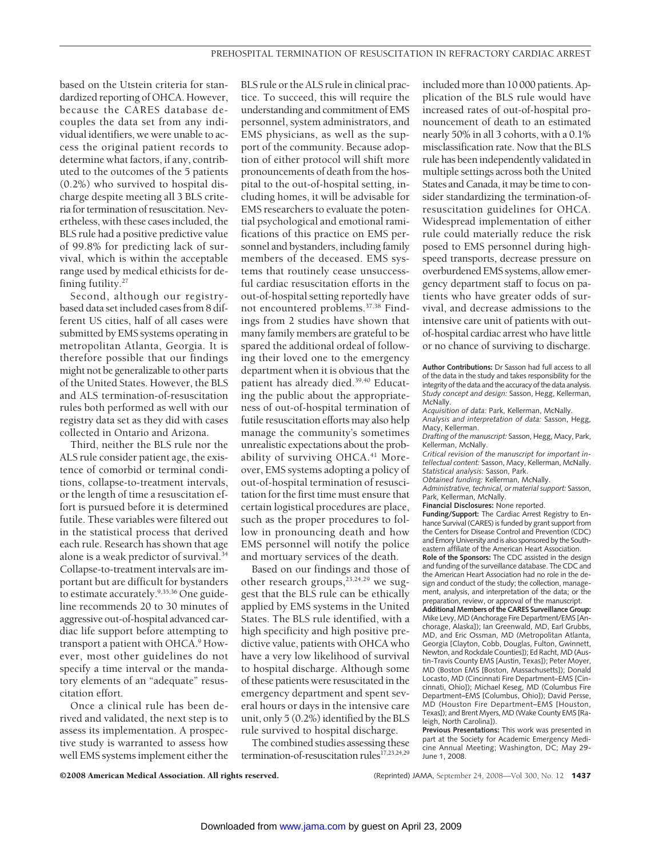based on the Utstein criteria for standardized reporting of OHCA. However, because the CARES database decouples the data set from any individual identifiers, we were unable to access the original patient records to determine what factors, if any, contributed to the outcomes of the 5 patients (0.2%) who survived to hospital discharge despite meeting all 3 BLS criteria for termination of resuscitation. Nevertheless, with these cases included, the BLS rule had a positive predictive value of 99.8% for predicting lack of survival, which is within the acceptable range used by medical ethicists for defining futility. $27$ 

Second, although our registrybased data set included cases from 8 different US cities, half of all cases were submitted by EMS systems operating in metropolitan Atlanta, Georgia. It is therefore possible that our findings might not be generalizable to other parts of the United States. However, the BLS and ALS termination-of-resuscitation rules both performed as well with our registry data set as they did with cases collected in Ontario and Arizona.

Third, neither the BLS rule nor the ALS rule consider patient age, the existence of comorbid or terminal conditions, collapse-to-treatment intervals, or the length of time a resuscitation effort is pursued before it is determined futile. These variables were filtered out in the statistical process that derived each rule. Research has shown that age alone is a weak predictor of survival.34 Collapse-to-treatment intervals are important but are difficult for bystanders to estimate accurately.<sup>9,35,36</sup> One guideline recommends 20 to 30 minutes of aggressive out-of-hospital advanced cardiac life support before attempting to transport a patient with OHCA.<sup>9</sup> However, most other guidelines do not specify a time interval or the mandatory elements of an "adequate" resuscitation effort.

Once a clinical rule has been derived and validated, the next step is to assess its implementation. A prospective study is warranted to assess how well EMS systems implement either the BLS rule or the ALS rule in clinical practice. To succeed, this will require the understanding and commitment of EMS personnel, system administrators, and EMS physicians, as well as the support of the community. Because adoption of either protocol will shift more pronouncements of death from the hospital to the out-of-hospital setting, including homes, it will be advisable for EMS researchers to evaluate the potential psychological and emotional ramifications of this practice on EMS personnel and bystanders, including family members of the deceased. EMS systems that routinely cease unsuccessful cardiac resuscitation efforts in the out-of-hospital setting reportedly have not encountered problems.37,38 Findings from 2 studies have shown that many family members are grateful to be spared the additional ordeal of following their loved one to the emergency department when it is obvious that the patient has already died.39,40 Educating the public about the appropriateness of out-of-hospital termination of futile resuscitation efforts may also help manage the community's sometimes unrealistic expectations about the probability of surviving OHCA.<sup>41</sup> Moreover, EMS systems adopting a policy of out-of-hospital termination of resuscitation for the first time must ensure that certain logistical procedures are place, such as the proper procedures to follow in pronouncing death and how EMS personnel will notify the police and mortuary services of the death.

Based on our findings and those of other research groups,<sup>23,24,29</sup> we suggest that the BLS rule can be ethically applied by EMS systems in the United States. The BLS rule identified, with a high specificity and high positive predictive value, patients with OHCA who have a very low likelihood of survival to hospital discharge. Although some of these patients were resuscitated in the emergency department and spent several hours or days in the intensive care unit, only 5 (0.2%) identified by the BLS rule survived to hospital discharge.

The combined studies assessing these termination-of-resuscitation rules $^{17,23,24,29}$ 

included more than 10 000 patients. Application of the BLS rule would have increased rates of out-of-hospital pronouncement of death to an estimated nearly 50% in all 3 cohorts, with a 0.1% misclassification rate. Now that the BLS rule has been independently validated in multiple settings across both the United States and Canada, it may be time to consider standardizing the termination-ofresuscitation guidelines for OHCA. Widespread implementation of either rule could materially reduce the risk posed to EMS personnel during highspeed transports, decrease pressure on overburdened EMS systems, allow emergency department staff to focus on patients who have greater odds of survival, and decrease admissions to the intensive care unit of patients with outof-hospital cardiac arrest who have little or no chance of surviving to discharge.

**Author Contributions:** Dr Sasson had full access to all of the data in the study and takes responsibility for the integrity of the data and the accuracy of the data analysis. *Study concept and design:* Sasson, Hegg, Kellerman, McNally.

*Acquisition of data:* Park, Kellerman, McNally. *Analysis and interpretation of data:* Sasson, Hegg,

Macy, Kellerman.

*Drafting of the manuscript:* Sasson, Hegg, Macy, Park, Kellerman, McNally.

*Critical revision of the manuscript for important intellectual content:* Sasson, Macy, Kellerman, McNally. *Statistical analysis:* Sasson, Park.

*Obtained funding:* Kellerman, McNally. *Administrative, technical, or material support:* Sasson,

Park, Kellerman, McNally. **Financial Disclosures:** None reported.

**Funding/Support:** The Cardiac Arrest Registry to Enhance Survival (CARES) is funded by grant support from the Centers for Disease Control and Prevention (CDC) and Emory University and is also sponsored by the South-

eastern affiliate of the American Heart Association. **Role of the Sponsors:** The CDC assisted in the design and funding of the surveillance database. The CDC and the American Heart Association had no role in the design and conduct of the study; the collection, management, analysis, and interpretation of the data; or the preparation, review, or approval of the manuscript. **Additional Members of the CARES Surveillance Group:**

Mike Levy, MD (Anchorage Fire Department/EMS [Anchorage, Alaska]); Ian Greenwald, MD, Earl Grubbs, MD, and Eric Ossman, MD (Metropolitan Atlanta, Georgia [Clayton, Cobb, Douglas, Fulton, Gwinnett, Newton, and Rockdale Counties]); Ed Racht, MD (Austin-Travis County EMS [Austin, Texas]); Peter Moyer, MD (Boston EMS [Boston, Massachusetts]); Donald Locasto, MD (Cincinnati Fire Department–EMS [Cincinnati, Ohio]); Michael Keseg, MD (Columbus Fire Department–EMS [Columbus, Ohio]); David Persse, MD (Houston Fire Department–EMS [Houston, Texas]); and Brent Myers, MD (Wake County EMS [Raleigh, North Carolina]).

**Previous Presentations:** This work was presented in part at the Society for Academic Emergency Medicine Annual Meeting; Washington, DC; May 29- June 1, 2008.

©2008 American Medical Association. All rights reserved. (Reprinted) JAMA, September 24, 2008—Vol 300, No. 12 **1437**